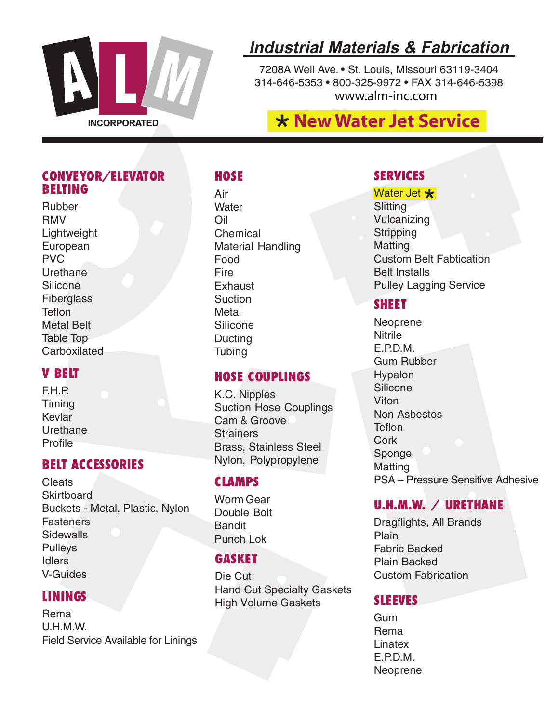

# **Industrial Materials & Fabrication**

7208A Weil Ave. • St. Louis, Missouri 63119-3404 314-646-5353 • 800-325-9972 • FAX 314-646-5398 www.alm-inc.com

# **THE CORPORATED THE SERVICE SERVICE SERVICE**

#### **CONVEYOR/ELEVATOR BELTING**

Rubber RMV Lightweight European PVC Urethane **Silicone Fiberglass Teflon** Metal Belt Table Top Carboxilated

#### **V BELT**

F.H.P. Timing Kevlar Urethane Profile

#### **BELT ACCESSORIES**

**Cleats Skirtboard** Buckets - Metal, Plastic, Nylon **Fasteners Sidewalls Pulleys** Idlers V-Guides

#### **LININGS**

Rema U.H.M.W. Field Service Available for Linings

### **HOSE**

Air **Water** Oil Chemical Material Handling Food Fire **Exhaust Suction Metal** Silicone **Ducting Tubing** 

#### **HOSE COUPLINGS**

K.C. Nipples Suction Hose Couplings Cam & Groove **Strainers** Brass, Stainless Steel Nylon, Polypropylene

#### **CLAMPS**

Worm Gear Double Bolt Bandit Punch Lok

#### **GASKET**

Die Cut Hand Cut Specialty Gaskets High Volume Gaskets

#### **SERVICES**

Water Jet  $\bigstar$ <br>Slitting **Slitting** Vulcanizing **Stripping** Matting Custom Belt Fabtication Belt Installs Pulley Lagging Service

#### **SHEET**

**Neoprene Nitrile** E.P.D.M. Gum Rubber **Hypalon Silicone** Viton Non Asbestos **Teflon Cork** Sponge **Matting** PSA – Pressure Sensitive Adhesive

#### **U.H.M.W. / URETHANE**

Plain Fabric Backed Plain Backed Custom Fabrication Dragflights, All Brands

#### **SLEEVES**

Gum Rema Linatex E.P.D.M. Neoprene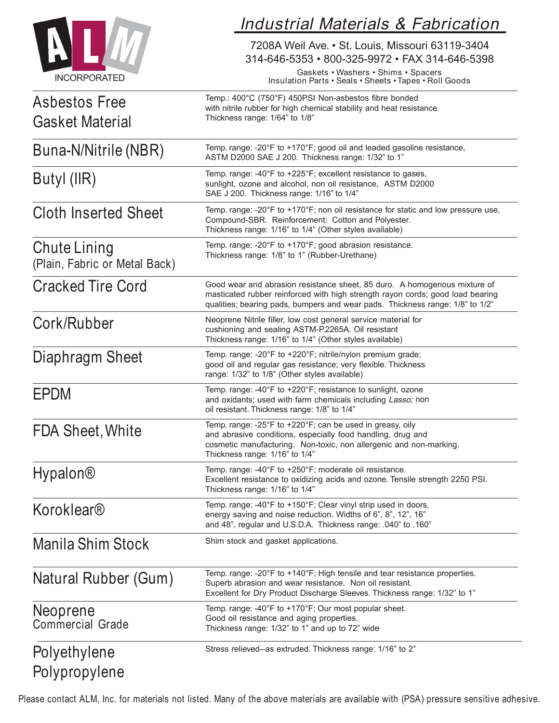|                                               | <b>Industrial Materials &amp; Fabrication</b><br>7208A Weil Ave. • St. Louis, Missouri 63119-3404<br>314-646-5353 · 800-325-9972 · FAX 314-646-5398<br>Gaskets • Washers • Shims • Spacers<br>Insulation Parts . Seals . Sheets . Tapes . Roll Goods<br>Temp.: 400°C (750°F) 450PSI Non-asbestos fibre bonded<br>with nitrile rubber for high chemical stability and heat resistance.<br>Thickness range: 1/64" to 1/8" |  |  |  |
|-----------------------------------------------|-------------------------------------------------------------------------------------------------------------------------------------------------------------------------------------------------------------------------------------------------------------------------------------------------------------------------------------------------------------------------------------------------------------------------|--|--|--|
| <b>INCORPORATED</b>                           |                                                                                                                                                                                                                                                                                                                                                                                                                         |  |  |  |
| Asbestos Free<br><b>Gasket Material</b>       |                                                                                                                                                                                                                                                                                                                                                                                                                         |  |  |  |
| Buna-N/Nitrile (NBR)                          | Temp. range: -20°F to +170°F; good oil and leaded gasoline resistance,<br>ASTM D2000 SAE J 200. Thickness range: 1/32" to 1"                                                                                                                                                                                                                                                                                            |  |  |  |
| Butyl (IIR)                                   | Temp. range: -40°F to +225°F; excellent resistance to gases,<br>sunlight, ozone and alcohol, non oil resistance, ASTM D2000<br>SAE J 200. Thickness range: 1/16" to 1/4"                                                                                                                                                                                                                                                |  |  |  |
| <b>Cloth Inserted Sheet</b>                   | Temp. range: -20°F to +170°F; non oil resistance for static and low pressure use,<br>Compound-SBR. Reinforcement: Cotton and Polyester.<br>Thickness range: 1/16" to 1/4" (Other styles available)                                                                                                                                                                                                                      |  |  |  |
| Chute Lining<br>(Plain, Fabric or Metal Back) | Temp. range: -20°F to +170°F; good abrasion resistance.<br>Thickness range: 1/8" to 1" (Rubber-Urethane)                                                                                                                                                                                                                                                                                                                |  |  |  |
| <b>Cracked Tire Cord</b>                      | Good wear and abrasion resistance sheet, 85 duro. A homogenous mixture of<br>masticated rubber reinforced with high strength rayon cords; good load bearing<br>qualities; bearing pads, bumpers and wear pads. Thickness range: 1/8" to 1/2"                                                                                                                                                                            |  |  |  |
| Cork/Rubber                                   | Neoprene Nitrile filler, low cost general service material for<br>cushioning and sealing ASTM-P.2265A. Oil resistant<br>Thickness range: 1/16" to 1/4" (Other styles available)                                                                                                                                                                                                                                         |  |  |  |
| Diaphragm Sheet                               | Temp. range: -20°F to +220°F; nitrile/nylon premium grade;<br>good oil and regular gas resistance; very flexible. Thickness<br>range: 1/32" to 1/8" (Other styles available)                                                                                                                                                                                                                                            |  |  |  |
| EPDM                                          | Temp. range: -40°F to +220°F; resistance to sunlight, ozone<br>and oxidants; used with farm chemicals including Lasso; non<br>oil resistant. Thickness range: 1/8" to 1/4"                                                                                                                                                                                                                                              |  |  |  |
| <b>FDA Sheet, White</b>                       | Temp. range: -25°F to +220°F; can be used in greasy, oily<br>and abrasive conditions, especially food handling, drug and<br>cosmetic manufacturing. Non-toxic, non allergenic and non-marking.<br>Thickness range: 1/16" to 1/4"                                                                                                                                                                                        |  |  |  |
| Hypalon®                                      | Temp. range: -40°F to +250°F; moderate oil resistance.<br>Excellent resistance to oxidizing acids and ozone. Tensile strength 2250 PSI.<br>Thickness range: 1/16" to 1/4"                                                                                                                                                                                                                                               |  |  |  |
| Koroklear®                                    | Temp. range: -40°F to +150°F; Clear vinyl strip used in doors,<br>energy saving and noise reduction. Widths of 6", 8", 12", 16"<br>and 48", regular and U.S.D.A. Thickness range: .040" to .160"                                                                                                                                                                                                                        |  |  |  |
| Manila Shim Stock                             | Shim stock and gasket applications.                                                                                                                                                                                                                                                                                                                                                                                     |  |  |  |
| Natural Rubber (Gum)                          | Temp. range: -20°F to +140°F; High tensile and tear resistance properties.<br>Superb abrasion and wear resistance. Non oil resistant.<br>Excellent for Dry Product Discharge Sleeves. Thickness range: 1/32" to 1"                                                                                                                                                                                                      |  |  |  |
| Neoprene<br><b>Commercial Grade</b>           | Temp. range: $-40^{\circ}$ F to $+170^{\circ}$ F; Our most popular sheet.<br>Good oil resistance and aging properties.<br>Thickness range: 1/32" to 1" and up to 72" wide                                                                                                                                                                                                                                               |  |  |  |
| Polyethylene<br>Polypropylene                 | Stress relieved--as extruded. Thickness range: 1/16" to 2"                                                                                                                                                                                                                                                                                                                                                              |  |  |  |

Please contact ALM, Inc. for materials not listed. Many of the above materials are available with (PSA) pressure sensitive adhesive.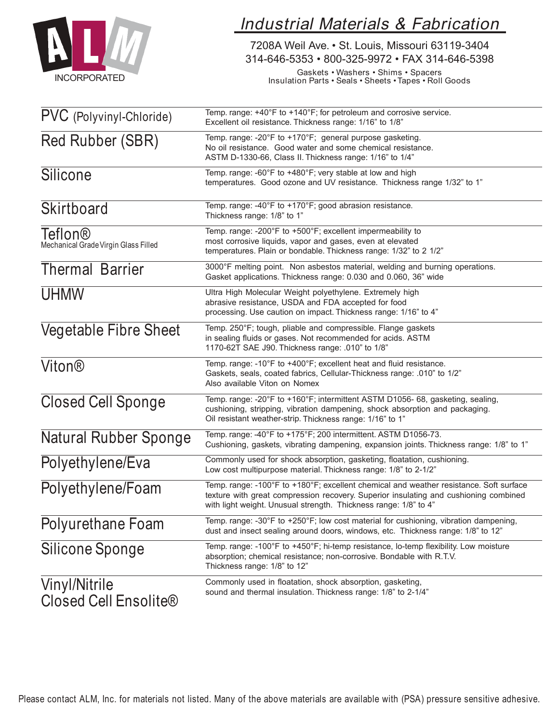

# Industrial Materials & Fabrication

7208A Weil Ave. • St. Louis, Missouri 63119-3404 314-646-5353 • 800-325-9972 • FAX 314-646-5398

Gaskets • Washers • Shims • Spacers Insulation Parts • Seals • Sheets •Tapes • Roll Goods

| PVC (Polyvinyl-Chloride)                        | Temp. range: +40°F to +140°F; for petroleum and corrosive service.<br>Excellent oil resistance. Thickness range: 1/16" to 1/8"                                                                                                                     |  |  |  |
|-------------------------------------------------|----------------------------------------------------------------------------------------------------------------------------------------------------------------------------------------------------------------------------------------------------|--|--|--|
| Red Rubber (SBR)                                | Temp. range: -20°F to +170°F; general purpose gasketing.<br>No oil resistance. Good water and some chemical resistance.<br>ASTM D-1330-66, Class II. Thickness range: 1/16" to 1/4"                                                                |  |  |  |
| Silicone                                        | Temp. range: -60°F to +480°F; very stable at low and high<br>temperatures. Good ozone and UV resistance. Thickness range 1/32" to 1"                                                                                                               |  |  |  |
| Skirtboard                                      | Temp. range: -40°F to +170°F; good abrasion resistance.<br>Thickness range: 1/8" to 1"                                                                                                                                                             |  |  |  |
| Teflon®<br>Mechanical Grade Virgin Glass Filled | Temp. range: -200°F to +500°F; excellent impermeability to<br>most corrosive liquids, vapor and gases, even at elevated<br>temperatures. Plain or bondable. Thickness range: 1/32" to 2 1/2"                                                       |  |  |  |
| <b>Thermal Barrier</b>                          | 3000°F melting point. Non asbestos material, welding and burning operations.<br>Gasket applications. Thickness range: 0.030 and 0.060, 36" wide                                                                                                    |  |  |  |
| <b>UHMW</b>                                     | Ultra High Molecular Weight polyethylene. Extremely high<br>abrasive resistance, USDA and FDA accepted for food<br>processing. Use caution on impact. Thickness range: 1/16" to 4"                                                                 |  |  |  |
| <b>Vegetable Fibre Sheet</b>                    | Temp. 250°F; tough, pliable and compressible. Flange gaskets<br>in sealing fluids or gases. Not recommended for acids. ASTM<br>1170-62T SAE J90. Thickness range: .010" to 1/8"                                                                    |  |  |  |
| Viton®                                          | Temp. range: -10°F to +400°F; excellent heat and fluid resistance.<br>Gaskets, seals, coated fabrics, Cellular-Thickness range: .010" to 1/2"<br>Also available Viton on Nomex                                                                     |  |  |  |
| <b>Closed Cell Sponge</b>                       | Temp. range: -20°F to +160°F; intermittent ASTM D1056- 68, gasketing, sealing,<br>cushioning, stripping, vibration dampening, shock absorption and packaging.<br>Oil resistant weather-strip. Thickness range: 1/16" to 1"                         |  |  |  |
| Natural Rubber Sponge                           | Temp. range: -40°F to +175°F; 200 intermittent. ASTM D1056-73.<br>Cushioning, gaskets, vibrating dampening, expansion joints. Thickness range: 1/8" to 1"                                                                                          |  |  |  |
| Polyethylene/Eva                                | Commonly used for shock absorption, gasketing, floatation, cushioning.<br>Low cost multipurpose material. Thickness range: 1/8" to 2-1/2"                                                                                                          |  |  |  |
| Polyethylene/Foam                               | Temp. range: -100°F to +180°F; excellent chemical and weather resistance. Soft surface<br>texture with great compression recovery. Superior insulating and cushioning combined<br>with light weight. Unusual strength. Thickness range: 1/8" to 4" |  |  |  |
| Polyurethane Foam                               | Temp. range: -30°F to +250°F; low cost material for cushioning, vibration dampening,<br>dust and insect sealing around doors, windows, etc. Thickness range: 1/8" to 12"                                                                           |  |  |  |
| Silicone Sponge                                 | Temp. range: -100°F to +450°F; hi-temp resistance, lo-temp flexibility. Low moisture<br>absorption; chemical resistance; non-corrosive. Bondable with R.T.V.<br>Thickness range: 1/8" to 12"                                                       |  |  |  |
| Vinyl/Nitrile<br><b>Closed Cell Ensolite®</b>   | Commonly used in floatation, shock absorption, gasketing,<br>sound and thermal insulation. Thickness range: 1/8" to 2-1/4"                                                                                                                         |  |  |  |